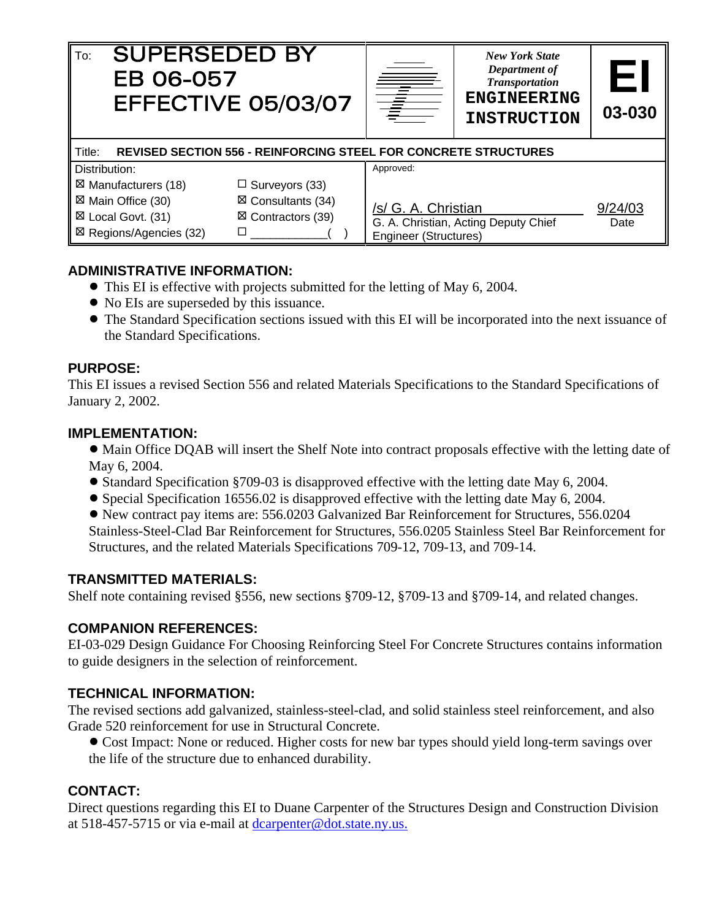| <b>SUPERSEDED BY</b><br>To:<br>EB 06-057                                                                                                 | EFFECTIVE 05/03/07    | T                                                                    | <b>New York State</b><br>Department of<br><b>Transportation</b><br><b>ENGINEERING</b><br><b>INSTRUCTION</b> | EI<br>03-030 |  |  |
|------------------------------------------------------------------------------------------------------------------------------------------|-----------------------|----------------------------------------------------------------------|-------------------------------------------------------------------------------------------------------------|--------------|--|--|
| Title:<br><b>REVISED SECTION 556 - REINFORCING STEEL FOR CONCRETE STRUCTURES</b>                                                         |                       |                                                                      |                                                                                                             |              |  |  |
| Distribution:                                                                                                                            |                       | Approved:                                                            |                                                                                                             |              |  |  |
| ⊠ Manufacturers (18)                                                                                                                     | $\Box$ Surveyors (33) |                                                                      |                                                                                                             |              |  |  |
| ⊠ Main Office (30)<br>$\boxtimes$ Consultants (34)<br>$\boxtimes$ Contractors (39)<br>⊠ Local Govt. (31)<br>⊠ Regions/Agencies (32)<br>□ |                       | /s/ G. A. Christian<br>9/24/03                                       |                                                                                                             |              |  |  |
|                                                                                                                                          |                       | G. A. Christian, Acting Deputy Chief<br><b>Engineer (Structures)</b> | Date                                                                                                        |              |  |  |

## **ADMINISTRATIVE INFORMATION:**

- This EI is effective with projects submitted for the letting of May 6, 2004.
- No EIs are superseded by this issuance.
- ! The Standard Specification sections issued with this EI will be incorporated into the next issuance of the Standard Specifications.

#### **PURPOSE:**

This EI issues a revised Section 556 and related Materials Specifications to the Standard Specifications of January 2, 2002.

#### **IMPLEMENTATION:**

- Main Office DQAB will insert the Shelf Note into contract proposals effective with the letting date of May 6, 2004.
- ! Standard Specification §709-03 is disapproved effective with the letting date May 6, 2004.
- ! Special Specification 16556.02 is disapproved effective with the letting date May 6, 2004.
- ! New contract pay items are: 556.0203 Galvanized Bar Reinforcement for Structures, 556.0204 Stainless-Steel-Clad Bar Reinforcement for Structures, 556.0205 Stainless Steel Bar Reinforcement for Structures, and the related Materials Specifications 709-12, 709-13, and 709-14.

### **TRANSMITTED MATERIALS:**

Shelf note containing revised §556, new sections §709-12, §709-13 and §709-14, and related changes.

### **COMPANION REFERENCES:**

EI-03-029 Design Guidance For Choosing Reinforcing Steel For Concrete Structures contains information to guide designers in the selection of reinforcement.

### **TECHNICAL INFORMATION:**

The revised sections add galvanized, stainless-steel-clad, and solid stainless steel reinforcement, and also Grade 520 reinforcement for use in Structural Concrete.

• Cost Impact: None or reduced. Higher costs for new bar types should yield long-term savings over the life of the structure due to enhanced durability.

### **CONTACT:**

Direct questions regarding this EI to Duane Carpenter of the Structures Design and Construction Division at 518-457-5715 or via e-mail at dcarpenter@dot.state.ny.us.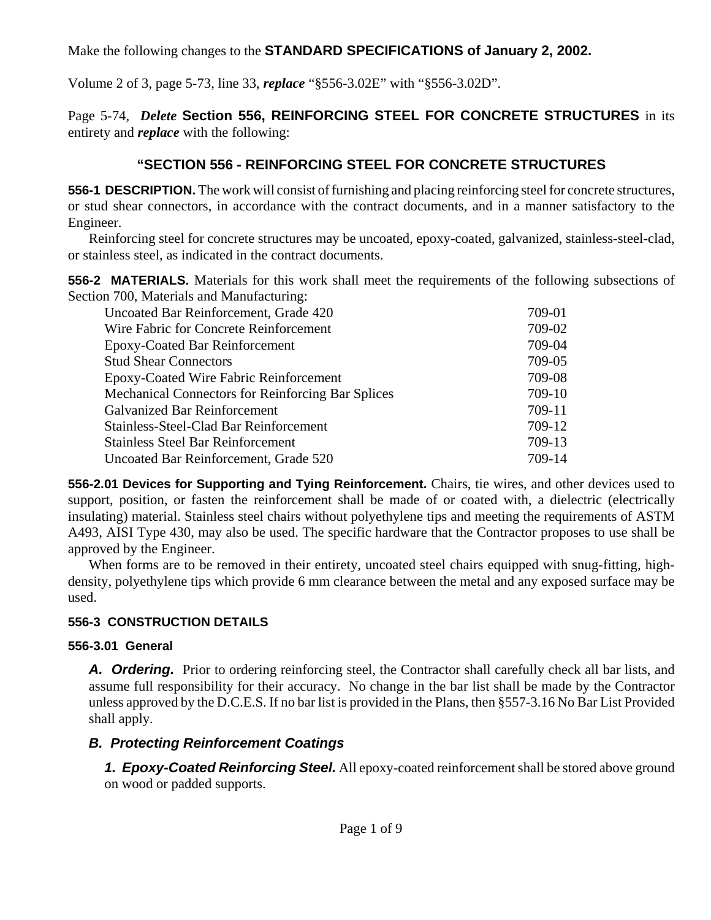Make the following changes to the **STANDARD SPECIFICATIONS of January 2, 2002.**

Volume 2 of 3, page 5-73, line 33, *replace* "§556-3.02E" with "§556-3.02D".

Page 5-74, *Delete* **Section 556, REINFORCING STEEL FOR CONCRETE STRUCTURES** in its entirety and *replace* with the following:

# **"SECTION 556 - REINFORCING STEEL FOR CONCRETE STRUCTURES**

**556-1 DESCRIPTION.** The work will consist of furnishing and placing reinforcing steel for concrete structures, or stud shear connectors, in accordance with the contract documents, and in a manner satisfactory to the Engineer.

Reinforcing steel for concrete structures may be uncoated, epoxy-coated, galvanized, stainless-steel-clad, or stainless steel, as indicated in the contract documents.

**556-2 MATERIALS.** Materials for this work shall meet the requirements of the following subsections of Section 700, Materials and Manufacturing:

| Uncoated Bar Reinforcement, Grade 420                    | 709-01 |
|----------------------------------------------------------|--------|
| Wire Fabric for Concrete Reinforcement                   | 709-02 |
| <b>Epoxy-Coated Bar Reinforcement</b>                    | 709-04 |
| <b>Stud Shear Connectors</b>                             | 709-05 |
| <b>Epoxy-Coated Wire Fabric Reinforcement</b>            | 709-08 |
| <b>Mechanical Connectors for Reinforcing Bar Splices</b> | 709-10 |
| <b>Galvanized Bar Reinforcement</b>                      | 709-11 |
| Stainless-Steel-Clad Bar Reinforcement                   | 709-12 |
| <b>Stainless Steel Bar Reinforcement</b>                 | 709-13 |
| Uncoated Bar Reinforcement, Grade 520                    | 709-14 |
|                                                          |        |

**556-2.01 Devices for Supporting and Tying Reinforcement.** Chairs, tie wires, and other devices used to support, position, or fasten the reinforcement shall be made of or coated with, a dielectric (electrically insulating) material. Stainless steel chairs without polyethylene tips and meeting the requirements of ASTM A493, AISI Type 430, may also be used. The specific hardware that the Contractor proposes to use shall be approved by the Engineer.

When forms are to be removed in their entirety, uncoated steel chairs equipped with snug-fitting, highdensity, polyethylene tips which provide 6 mm clearance between the metal and any exposed surface may be used.

# **556-3 CONSTRUCTION DETAILS**

## **556-3.01 General**

A. **Ordering.** Prior to ordering reinforcing steel, the Contractor shall carefully check all bar lists, and assume full responsibility for their accuracy. No change in the bar list shall be made by the Contractor unless approved by the D.C.E.S. If no bar list is provided in the Plans, then §557-3.16 No Bar List Provided shall apply.

# *B. Protecting Reinforcement Coatings*

*1. Epoxy-Coated Reinforcing Steel.* All epoxy-coated reinforcement shall be stored above ground on wood or padded supports.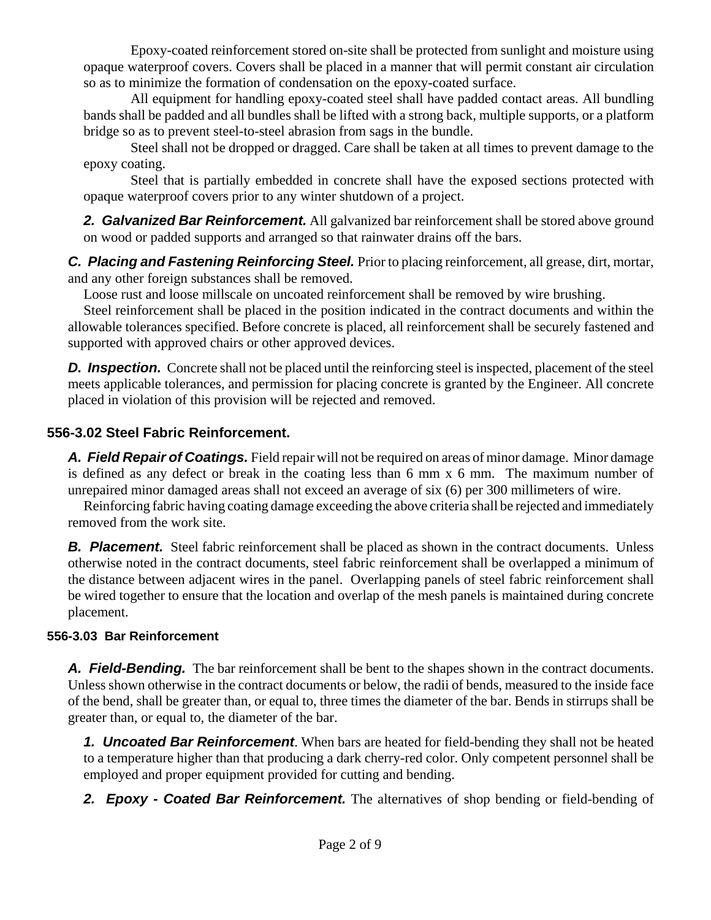Epoxy-coated reinforcement stored on-site shall be protected from sunlight and moisture using opaque waterproof covers. Covers shall be placed in a manner that will permit constant air circulation so as to minimize the formation of condensation on the epoxy-coated surface.

All equipment for handling epoxy-coated steel shall have padded contact areas. All bundling bands shall be padded and all bundles shall be lifted with a strong back, multiple supports, or a platform bridge so as to prevent steel-to-steel abrasion from sags in the bundle.

Steel shall not be dropped or dragged. Care shall be taken at all times to prevent damage to the epoxy coating.

Steel that is partially embedded in concrete shall have the exposed sections protected with opaque waterproof covers prior to any winter shutdown of a project.

2. Galvanized Bar Reinforcement. All galvanized bar reinforcement shall be stored above ground on wood or padded supports and arranged so that rainwater drains off the bars.

*C. Placing and Fastening Reinforcing Steel.* Prior to placing reinforcement, all grease, dirt, mortar, and any other foreign substances shall be removed.

Loose rust and loose millscale on uncoated reinforcement shall be removed by wire brushing.

Steel reinforcement shall be placed in the position indicated in the contract documents and within the allowable tolerances specified. Before concrete is placed, all reinforcement shall be securely fastened and supported with approved chairs or other approved devices.

**D.** Inspection. Concrete shall not be placed until the reinforcing steel is inspected, placement of the steel meets applicable tolerances, and permission for placing concrete is granted by the Engineer. All concrete placed in violation of this provision will be rejected and removed.

# **556-3.02 Steel Fabric Reinforcement.**

*A. Field Repair of Coatings.* Field repair will not be required on areas of minor damage. Minor damage is defined as any defect or break in the coating less than 6 mm x 6 mm. The maximum number of unrepaired minor damaged areas shall not exceed an average of six (6) per 300 millimeters of wire.

Reinforcing fabric having coating damage exceeding the above criteria shall be rejected and immediately removed from the work site.

**B. Placement.** Steel fabric reinforcement shall be placed as shown in the contract documents. Unless otherwise noted in the contract documents, steel fabric reinforcement shall be overlapped a minimum of the distance between adjacent wires in the panel. Overlapping panels of steel fabric reinforcement shall be wired together to ensure that the location and overlap of the mesh panels is maintained during concrete placement.

## **556-3.03 Bar Reinforcement**

**A. Field-Bending.** The bar reinforcement shall be bent to the shapes shown in the contract documents. Unless shown otherwise in the contract documents or below, the radii of bends, measured to the inside face of the bend, shall be greater than, or equal to, three times the diameter of the bar. Bends in stirrups shall be greater than, or equal to, the diameter of the bar.

*1. Uncoated Bar Reinforcement*. When bars are heated for field-bending they shall not be heated to a temperature higher than that producing a dark cherry-red color. Only competent personnel shall be employed and proper equipment provided for cutting and bending.

*2. Epoxy - Coated Bar Reinforcement.* The alternatives of shop bending or field-bending of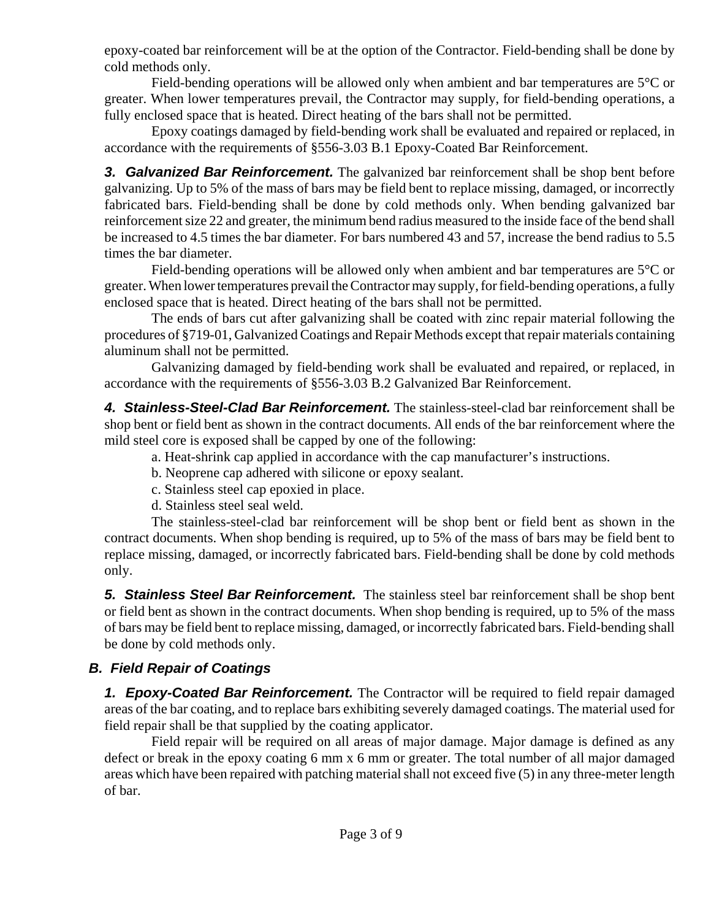epoxy-coated bar reinforcement will be at the option of the Contractor. Field-bending shall be done by cold methods only.

Field-bending operations will be allowed only when ambient and bar temperatures are 5°C or greater. When lower temperatures prevail, the Contractor may supply, for field-bending operations, a fully enclosed space that is heated. Direct heating of the bars shall not be permitted.

Epoxy coatings damaged by field-bending work shall be evaluated and repaired or replaced, in accordance with the requirements of §556-3.03 B.1 Epoxy-Coated Bar Reinforcement.

*3. Galvanized Bar Reinforcement.* The galvanized bar reinforcement shall be shop bent before galvanizing. Up to 5% of the mass of bars may be field bent to replace missing, damaged, or incorrectly fabricated bars. Field-bending shall be done by cold methods only. When bending galvanized bar reinforcement size 22 and greater, the minimum bend radius measured to the inside face of the bend shall be increased to 4.5 times the bar diameter. For bars numbered 43 and 57, increase the bend radius to 5.5 times the bar diameter.

Field-bending operations will be allowed only when ambient and bar temperatures are 5°C or greater. When lower temperatures prevail the Contractor may supply, for field-bending operations, a fully enclosed space that is heated. Direct heating of the bars shall not be permitted.

The ends of bars cut after galvanizing shall be coated with zinc repair material following the procedures of §719-01, Galvanized Coatings and Repair Methods except that repair materials containing aluminum shall not be permitted.

Galvanizing damaged by field-bending work shall be evaluated and repaired, or replaced, in accordance with the requirements of §556-3.03 B.2 Galvanized Bar Reinforcement.

*4. Stainless-Steel-Clad Bar Reinforcement.* The stainless-steel-clad bar reinforcement shall be shop bent or field bent as shown in the contract documents. All ends of the bar reinforcement where the mild steel core is exposed shall be capped by one of the following:

a. Heat-shrink cap applied in accordance with the cap manufacturer's instructions.

b. Neoprene cap adhered with silicone or epoxy sealant.

c. Stainless steel cap epoxied in place.

d. Stainless steel seal weld.

The stainless-steel-clad bar reinforcement will be shop bent or field bent as shown in the contract documents. When shop bending is required, up to 5% of the mass of bars may be field bent to replace missing, damaged, or incorrectly fabricated bars. Field-bending shall be done by cold methods only.

*5. Stainless Steel Bar Reinforcement.* The stainless steel bar reinforcement shall be shop bent or field bent as shown in the contract documents. When shop bending is required, up to 5% of the mass of bars may be field bent to replace missing, damaged, or incorrectly fabricated bars. Field-bending shall be done by cold methods only.

# *B. Field Repair of Coatings*

*1. Epoxy-Coated Bar Reinforcement.* The Contractor will be required to field repair damaged areas of the bar coating, and to replace bars exhibiting severely damaged coatings. The material used for field repair shall be that supplied by the coating applicator.

Field repair will be required on all areas of major damage. Major damage is defined as any defect or break in the epoxy coating 6 mm x 6 mm or greater. The total number of all major damaged areas which have been repaired with patching material shall not exceed five (5) in any three-meter length of bar.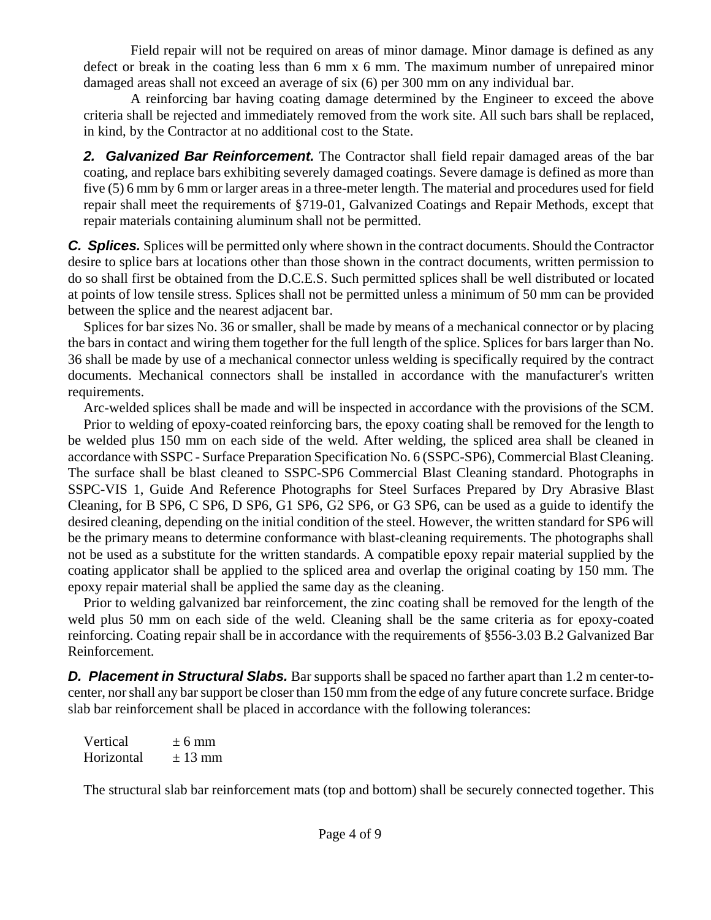Field repair will not be required on areas of minor damage. Minor damage is defined as any defect or break in the coating less than 6 mm x 6 mm. The maximum number of unrepaired minor damaged areas shall not exceed an average of six (6) per 300 mm on any individual bar.

A reinforcing bar having coating damage determined by the Engineer to exceed the above criteria shall be rejected and immediately removed from the work site. All such bars shall be replaced, in kind, by the Contractor at no additional cost to the State.

*2. Galvanized Bar Reinforcement.* The Contractor shall field repair damaged areas of the bar coating, and replace bars exhibiting severely damaged coatings. Severe damage is defined as more than five (5) 6 mm by 6 mm or larger areas in a three-meter length. The material and procedures used for field repair shall meet the requirements of §719-01, Galvanized Coatings and Repair Methods, except that repair materials containing aluminum shall not be permitted.

*C. Splices.* Splices will be permitted only where shown in the contract documents. Should the Contractor desire to splice bars at locations other than those shown in the contract documents, written permission to do so shall first be obtained from the D.C.E.S. Such permitted splices shall be well distributed or located at points of low tensile stress. Splices shall not be permitted unless a minimum of 50 mm can be provided between the splice and the nearest adjacent bar.

Splices for bar sizes No. 36 or smaller, shall be made by means of a mechanical connector or by placing the bars in contact and wiring them together for the full length of the splice. Splices for bars larger than No. 36 shall be made by use of a mechanical connector unless welding is specifically required by the contract documents. Mechanical connectors shall be installed in accordance with the manufacturer's written requirements.

Arc-welded splices shall be made and will be inspected in accordance with the provisions of the SCM.

Prior to welding of epoxy-coated reinforcing bars, the epoxy coating shall be removed for the length to be welded plus 150 mm on each side of the weld. After welding, the spliced area shall be cleaned in accordance with SSPC - Surface Preparation Specification No. 6 (SSPC-SP6), Commercial Blast Cleaning. The surface shall be blast cleaned to SSPC-SP6 Commercial Blast Cleaning standard. Photographs in SSPC-VIS 1, Guide And Reference Photographs for Steel Surfaces Prepared by Dry Abrasive Blast Cleaning, for B SP6, C SP6, D SP6, G1 SP6, G2 SP6, or G3 SP6, can be used as a guide to identify the desired cleaning, depending on the initial condition of the steel. However, the written standard for SP6 will be the primary means to determine conformance with blast-cleaning requirements. The photographs shall not be used as a substitute for the written standards. A compatible epoxy repair material supplied by the coating applicator shall be applied to the spliced area and overlap the original coating by 150 mm. The epoxy repair material shall be applied the same day as the cleaning.

Prior to welding galvanized bar reinforcement, the zinc coating shall be removed for the length of the weld plus 50 mm on each side of the weld. Cleaning shall be the same criteria as for epoxy-coated reinforcing. Coating repair shall be in accordance with the requirements of §556-3.03 B.2 Galvanized Bar Reinforcement.

**D. Placement in Structural Slabs.** Bar supports shall be spaced no farther apart than 1.2 m center-tocenter, nor shall any bar support be closer than 150 mm from the edge of any future concrete surface. Bridge slab bar reinforcement shall be placed in accordance with the following tolerances:

Vertical  $\pm 6$  mm Horizontal  $\pm 13$  mm

The structural slab bar reinforcement mats (top and bottom) shall be securely connected together. This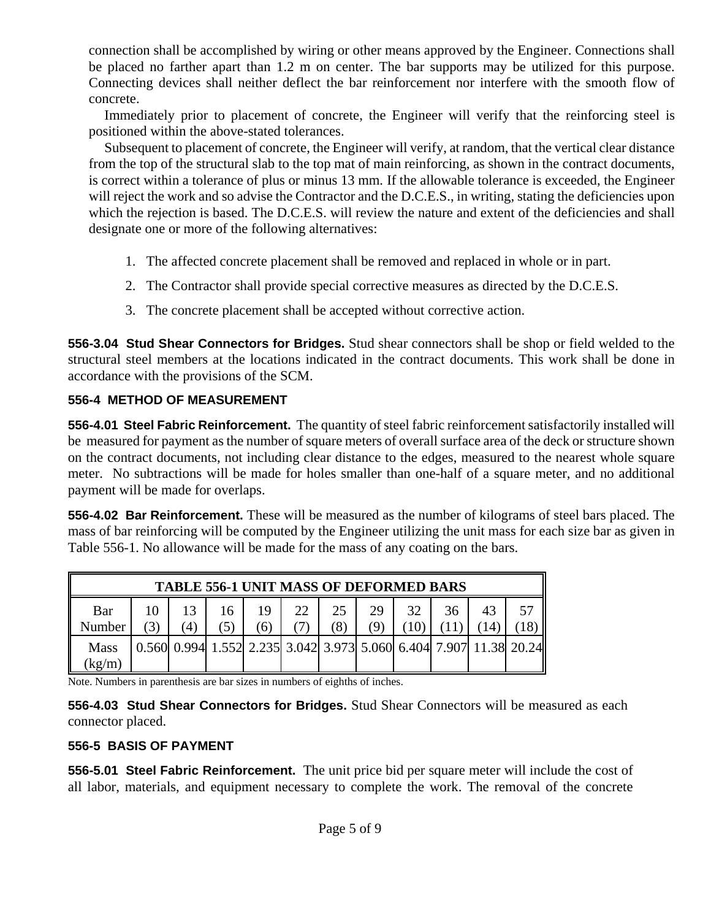connection shall be accomplished by wiring or other means approved by the Engineer. Connections shall be placed no farther apart than 1.2 m on center. The bar supports may be utilized for this purpose. Connecting devices shall neither deflect the bar reinforcement nor interfere with the smooth flow of concrete.

Immediately prior to placement of concrete, the Engineer will verify that the reinforcing steel is positioned within the above-stated tolerances.

Subsequent to placement of concrete, the Engineer will verify, at random, that the vertical clear distance from the top of the structural slab to the top mat of main reinforcing, as shown in the contract documents, is correct within a tolerance of plus or minus 13 mm. If the allowable tolerance is exceeded, the Engineer will reject the work and so advise the Contractor and the D.C.E.S., in writing, stating the deficiencies upon which the rejection is based. The D.C.E.S. will review the nature and extent of the deficiencies and shall designate one or more of the following alternatives:

- 1. The affected concrete placement shall be removed and replaced in whole or in part.
- 2. The Contractor shall provide special corrective measures as directed by the D.C.E.S.
- 3. The concrete placement shall be accepted without corrective action.

**556-3.04 Stud Shear Connectors for Bridges.** Stud shear connectors shall be shop or field welded to the structural steel members at the locations indicated in the contract documents. This work shall be done in accordance with the provisions of the SCM.

# **556-4 METHOD OF MEASUREMENT**

**556-4.01 Steel Fabric Reinforcement.** The quantity of steel fabric reinforcement satisfactorily installed will be measured for payment as the number of square meters of overall surface area of the deck or structure shown on the contract documents, not including clear distance to the edges, measured to the nearest whole square meter. No subtractions will be made for holes smaller than one-half of a square meter, and no additional payment will be made for overlaps.

**556-4.02 Bar Reinforcement.** These will be measured as the number of kilograms of steel bars placed. The mass of bar reinforcing will be computed by the Engineer utilizing the unit mass for each size bar as given in Table 556-1. No allowance will be made for the mass of any coating on the bars.

| <b>TABLE 556-1 UNIT MASS OF DEFORMED BARS</b> |  |  |  |    |    |    |     |    |    |    |                                                                   |
|-----------------------------------------------|--|--|--|----|----|----|-----|----|----|----|-------------------------------------------------------------------|
| Bar                                           |  |  |  | 19 | 22 | 25 | 29  | 32 | 36 | 43 |                                                                   |
| Number                                        |  |  |  |    |    |    | (Q) |    |    |    |                                                                   |
| <b>Mass</b>                                   |  |  |  |    |    |    |     |    |    |    | 0.560 0.994 1.552 2.235 3.042 3.973 5.060 6.404 7.907 11.38 20.24 |
| kg/m                                          |  |  |  |    |    |    |     |    |    |    |                                                                   |

Note. Numbers in parenthesis are bar sizes in numbers of eighths of inches.

**556-4.03 Stud Shear Connectors for Bridges.** Stud Shear Connectors will be measured as each connector placed.

## **556-5 BASIS OF PAYMENT**

**556-5.01 Steel Fabric Reinforcement.** The unit price bid per square meter will include the cost of all labor, materials, and equipment necessary to complete the work. The removal of the concrete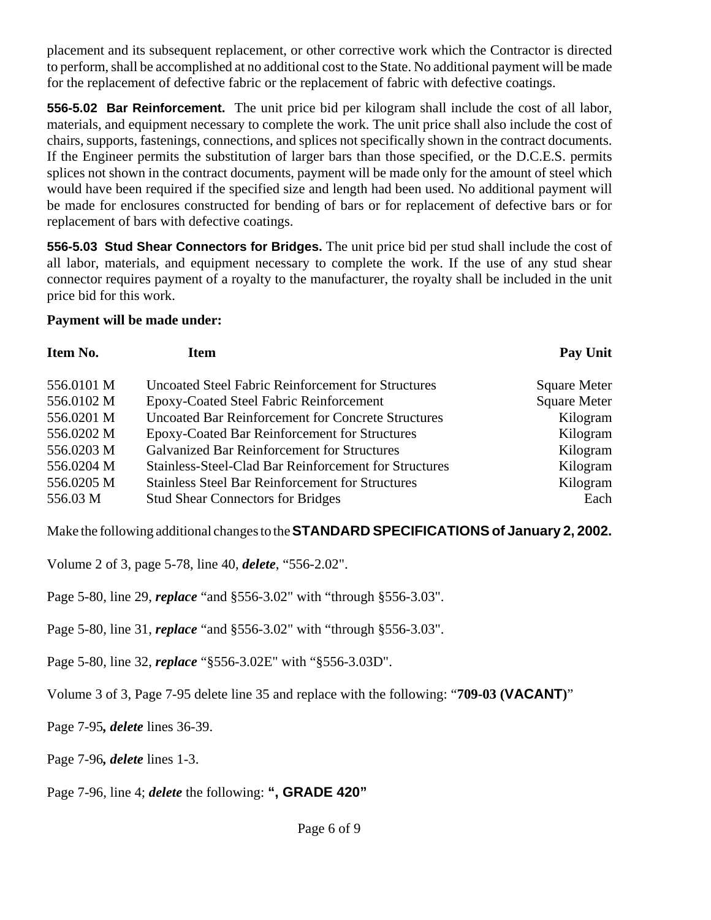placement and its subsequent replacement, or other corrective work which the Contractor is directed to perform, shall be accomplished at no additional cost to the State. No additional payment will be made for the replacement of defective fabric or the replacement of fabric with defective coatings.

**556-5.02 Bar Reinforcement.** The unit price bid per kilogram shall include the cost of all labor, materials, and equipment necessary to complete the work. The unit price shall also include the cost of chairs, supports, fastenings, connections, and splices not specifically shown in the contract documents. If the Engineer permits the substitution of larger bars than those specified, or the D.C.E.S. permits splices not shown in the contract documents, payment will be made only for the amount of steel which would have been required if the specified size and length had been used. No additional payment will be made for enclosures constructed for bending of bars or for replacement of defective bars or for replacement of bars with defective coatings.

**556-5.03 Stud Shear Connectors for Bridges.** The unit price bid per stud shall include the cost of all labor, materials, and equipment necessary to complete the work. If the use of any stud shear connector requires payment of a royalty to the manufacturer, the royalty shall be included in the unit price bid for this work.

### **Payment will be made under:**

| Item No.   | Item                                                      | Pay Unit            |
|------------|-----------------------------------------------------------|---------------------|
| 556.0101 M | <b>Uncoated Steel Fabric Reinforcement for Structures</b> | <b>Square Meter</b> |
| 556.0102 M | Epoxy-Coated Steel Fabric Reinforcement                   | <b>Square Meter</b> |
| 556.0201 M | <b>Uncoated Bar Reinforcement for Concrete Structures</b> | Kilogram            |
| 556.0202 M | Epoxy-Coated Bar Reinforcement for Structures             | Kilogram            |
| 556.0203 M | <b>Galvanized Bar Reinforcement for Structures</b>        | Kilogram            |
| 556.0204 M | Stainless-Steel-Clad Bar Reinforcement for Structures     | Kilogram            |
| 556.0205 M | <b>Stainless Steel Bar Reinforcement for Structures</b>   | Kilogram            |
| 556.03 M   | <b>Stud Shear Connectors for Bridges</b>                  | Each                |

Make the following additional changes to the **STANDARD SPECIFICATIONS of January 2, 2002.**

Volume 2 of 3, page 5-78, line 40, *delete*, "556-2.02".

Page 5-80, line 29, *replace* "and §556-3.02" with "through §556-3.03".

Page 5-80, line 31, *replace* "and §556-3.02" with "through §556-3.03".

Page 5-80, line 32, *replace* "§556-3.02E" with "§556-3.03D".

Volume 3 of 3, Page 7-95 delete line 35 and replace with the following: "**709-03 (VACANT)**"

Page 7-95*, delete* lines 36-39.

Page 7-96*, delete* lines 1-3.

Page 7-96, line 4; *delete* the following: **", GRADE 420"**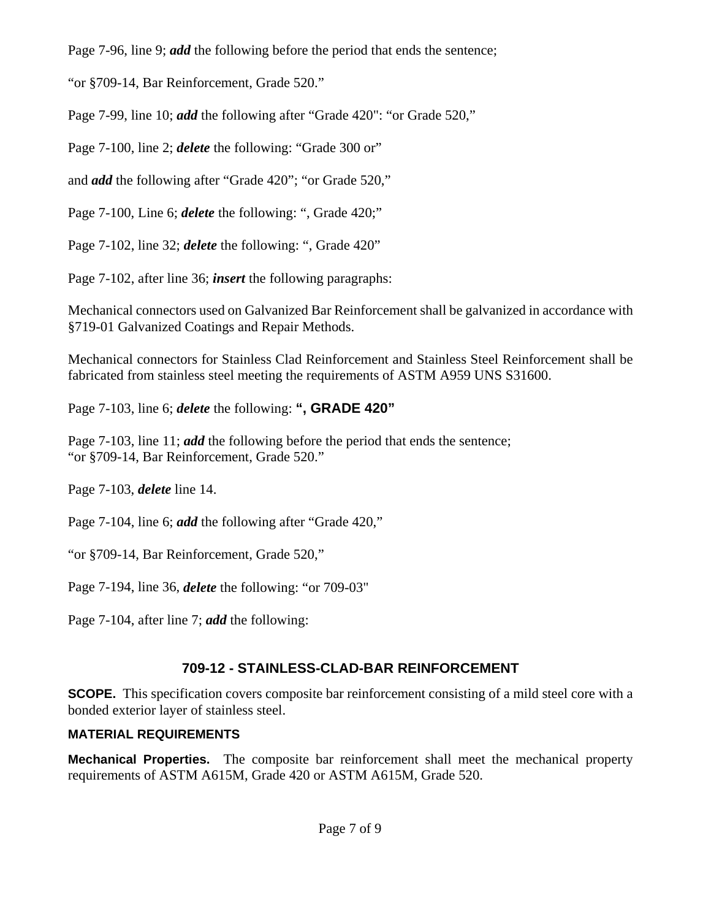Page 7-96, line 9; *add* the following before the period that ends the sentence;

"or §709-14, Bar Reinforcement, Grade 520."

Page 7-99, line 10; *add* the following after "Grade 420": "or Grade 520,"

Page 7-100, line 2; *delete* the following: "Grade 300 or"

and *add* the following after "Grade 420"; "or Grade 520,"

Page 7-100, Line 6; *delete* the following: ", Grade 420;"

Page 7-102, line 32; *delete* the following: ", Grade 420"

Page 7-102, after line 36; *insert* the following paragraphs:

Mechanical connectors used on Galvanized Bar Reinforcement shall be galvanized in accordance with §719-01 Galvanized Coatings and Repair Methods.

Mechanical connectors for Stainless Clad Reinforcement and Stainless Steel Reinforcement shall be fabricated from stainless steel meeting the requirements of ASTM A959 UNS S31600.

Page 7-103, line 6; *delete* the following: **", GRADE 420"**

Page 7-103, line 11; *add* the following before the period that ends the sentence; "or §709-14, Bar Reinforcement, Grade 520."

Page 7-103, *delete* line 14.

Page 7-104, line 6; *add* the following after "Grade 420,"

"or §709-14, Bar Reinforcement, Grade 520,"

Page 7-194, line 36, *delete* the following: "or 709-03"

Page 7-104, after line 7; *add* the following:

# **709-12 - STAINLESS-CLAD-BAR REINFORCEMENT**

**SCOPE.** This specification covers composite bar reinforcement consisting of a mild steel core with a bonded exterior layer of stainless steel.

# **MATERIAL REQUIREMENTS**

**Mechanical Properties.** The composite bar reinforcement shall meet the mechanical property requirements of ASTM A615M, Grade 420 or ASTM A615M, Grade 520.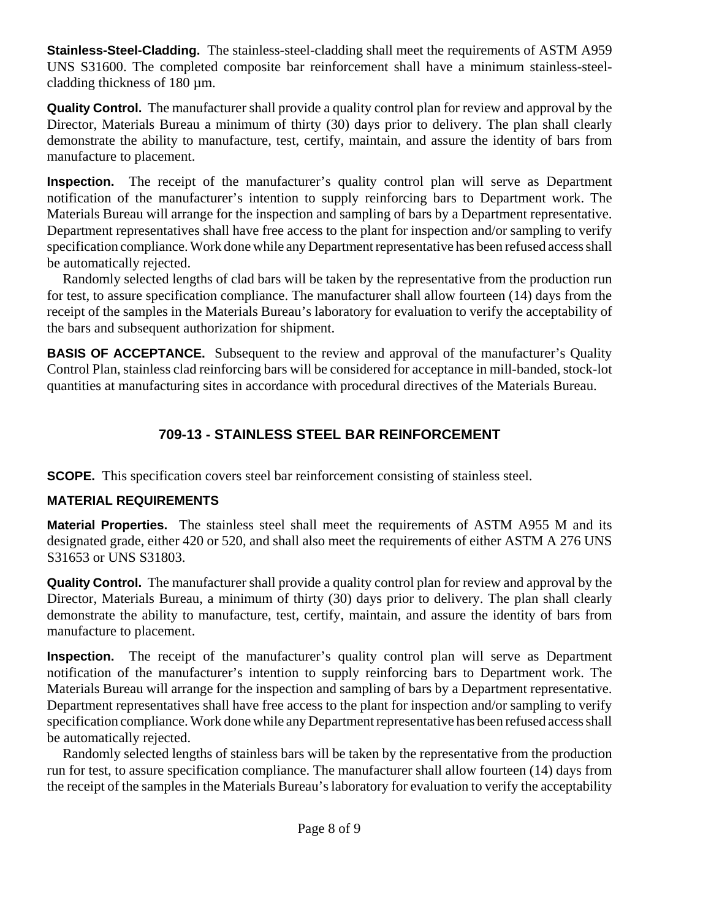**Stainless-Steel-Cladding.** The stainless-steel-cladding shall meet the requirements of ASTM A959 UNS S31600. The completed composite bar reinforcement shall have a minimum stainless-steelcladding thickness of 180 µm.

**Quality Control.** The manufacturer shall provide a quality control plan for review and approval by the Director, Materials Bureau a minimum of thirty (30) days prior to delivery. The plan shall clearly demonstrate the ability to manufacture, test, certify, maintain, and assure the identity of bars from manufacture to placement.

**Inspection.** The receipt of the manufacturer's quality control plan will serve as Department notification of the manufacturer's intention to supply reinforcing bars to Department work. The Materials Bureau will arrange for the inspection and sampling of bars by a Department representative. Department representatives shall have free access to the plant for inspection and/or sampling to verify specification compliance. Work done while any Department representative has been refused access shall be automatically rejected.

Randomly selected lengths of clad bars will be taken by the representative from the production run for test, to assure specification compliance. The manufacturer shall allow fourteen (14) days from the receipt of the samples in the Materials Bureau's laboratory for evaluation to verify the acceptability of the bars and subsequent authorization for shipment.

**BASIS OF ACCEPTANCE.** Subsequent to the review and approval of the manufacturer's Quality Control Plan, stainless clad reinforcing bars will be considered for acceptance in mill-banded, stock-lot quantities at manufacturing sites in accordance with procedural directives of the Materials Bureau.

# **709-13 - STAINLESS STEEL BAR REINFORCEMENT**

**SCOPE.** This specification covers steel bar reinforcement consisting of stainless steel.

# **MATERIAL REQUIREMENTS**

**Material Properties.** The stainless steel shall meet the requirements of ASTM A955 M and its designated grade, either 420 or 520, and shall also meet the requirements of either ASTM A 276 UNS S31653 or UNS S31803.

**Quality Control.** The manufacturer shall provide a quality control plan for review and approval by the Director, Materials Bureau, a minimum of thirty (30) days prior to delivery. The plan shall clearly demonstrate the ability to manufacture, test, certify, maintain, and assure the identity of bars from manufacture to placement.

**Inspection.** The receipt of the manufacturer's quality control plan will serve as Department notification of the manufacturer's intention to supply reinforcing bars to Department work. The Materials Bureau will arrange for the inspection and sampling of bars by a Department representative. Department representatives shall have free access to the plant for inspection and/or sampling to verify specification compliance. Work done while any Department representative has been refused access shall be automatically rejected.

Randomly selected lengths of stainless bars will be taken by the representative from the production run for test, to assure specification compliance. The manufacturer shall allow fourteen (14) days from the receipt of the samples in the Materials Bureau's laboratory for evaluation to verify the acceptability